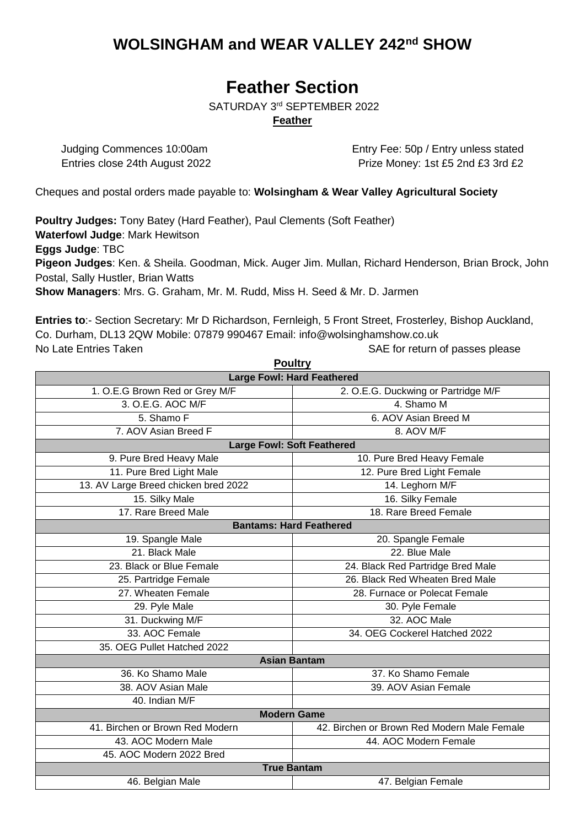# **WOLSINGHAM and WEAR VALLEY 242nd SHOW**

# **Feather Section**

SATURDAY 3<sup>rd</sup> SEPTEMBER 2022

### **Feather**

Judging Commences 10:00am Entry Fee: 50p / Entry unless stated Entries close 24th August 2022 **Prize Money: 1st £5 2nd £3 3rd £2** 

Cheques and postal orders made payable to: **Wolsingham & Wear Valley Agricultural Society** 

**Poultry Judges:** Tony Batey (Hard Feather), Paul Clements (Soft Feather) **Waterfowl Judge**: Mark Hewitson **Eggs Judge**: TBC **Pigeon Judges**: Ken. & Sheila. Goodman, Mick. Auger Jim. Mullan, Richard Henderson, Brian Brock, John Postal, Sally Hustler, Brian Watts **Show Managers**: Mrs. G. Graham, Mr. M. Rudd, Miss H. Seed & Mr. D. Jarmen

**Entries to**:- Section Secretary: Mr D Richardson, Fernleigh, 5 Front Street, Frosterley, Bishop Auckland, Co. Durham, DL13 2QW Mobile: 07879 990467 Email: info@wolsinghamshow.co.uk No Late Entries Taken SAE for return of passes please

| <b>Poultry</b>                                  |                                             |  |  |  |  |
|-------------------------------------------------|---------------------------------------------|--|--|--|--|
| <b>Large Fowl: Hard Feathered</b>               |                                             |  |  |  |  |
| 1. O.E.G Brown Red or Grey M/F                  | 2. O.E.G. Duckwing or Partridge M/F         |  |  |  |  |
| 3. O.E.G. AOC M/F                               | 4. Shamo M                                  |  |  |  |  |
| 5. Shamo F<br>6. AOV Asian Breed M              |                                             |  |  |  |  |
| 7. AOV Asian Breed F<br>8. AOV M/F              |                                             |  |  |  |  |
| <b>Large Fowl: Soft Feathered</b>               |                                             |  |  |  |  |
| 9. Pure Bred Heavy Male                         | 10. Pure Bred Heavy Female                  |  |  |  |  |
| 11. Pure Bred Light Male                        | 12. Pure Bred Light Female                  |  |  |  |  |
| 13. AV Large Breed chicken bred 2022            | 14. Leghorn M/F                             |  |  |  |  |
| 15. Silky Male                                  | 16. Silky Female                            |  |  |  |  |
| 17. Rare Breed Male                             | 18. Rare Breed Female                       |  |  |  |  |
|                                                 | <b>Bantams: Hard Feathered</b>              |  |  |  |  |
| 19. Spangle Male                                | 20. Spangle Female                          |  |  |  |  |
| 21. Black Male                                  | 22. Blue Male                               |  |  |  |  |
| 23. Black or Blue Female                        | 24. Black Red Partridge Bred Male           |  |  |  |  |
| 25. Partridge Female                            | 26. Black Red Wheaten Bred Male             |  |  |  |  |
| 27. Wheaten Female                              | 28. Furnace or Polecat Female               |  |  |  |  |
| 30. Pyle Female<br>29. Pyle Male                |                                             |  |  |  |  |
| 32. AOC Male<br>31. Duckwing M/F                |                                             |  |  |  |  |
| 33. AOC Female<br>34. OEG Cockerel Hatched 2022 |                                             |  |  |  |  |
| 35. OEG Pullet Hatched 2022                     |                                             |  |  |  |  |
|                                                 | <b>Asian Bantam</b>                         |  |  |  |  |
| 36. Ko Shamo Male                               | 37. Ko Shamo Female                         |  |  |  |  |
| 38. AOV Asian Male                              | 39. AOV Asian Female                        |  |  |  |  |
| 40. Indian M/F                                  |                                             |  |  |  |  |
| <b>Modern Game</b>                              |                                             |  |  |  |  |
| 41. Birchen or Brown Red Modern                 | 42. Birchen or Brown Red Modern Male Female |  |  |  |  |
| 43. AOC Modern Male                             | 44. AOC Modern Female                       |  |  |  |  |
| 45. AOC Modern 2022 Bred                        |                                             |  |  |  |  |
| <b>True Bantam</b>                              |                                             |  |  |  |  |
| 46. Belgian Male                                | 47. Belgian Female                          |  |  |  |  |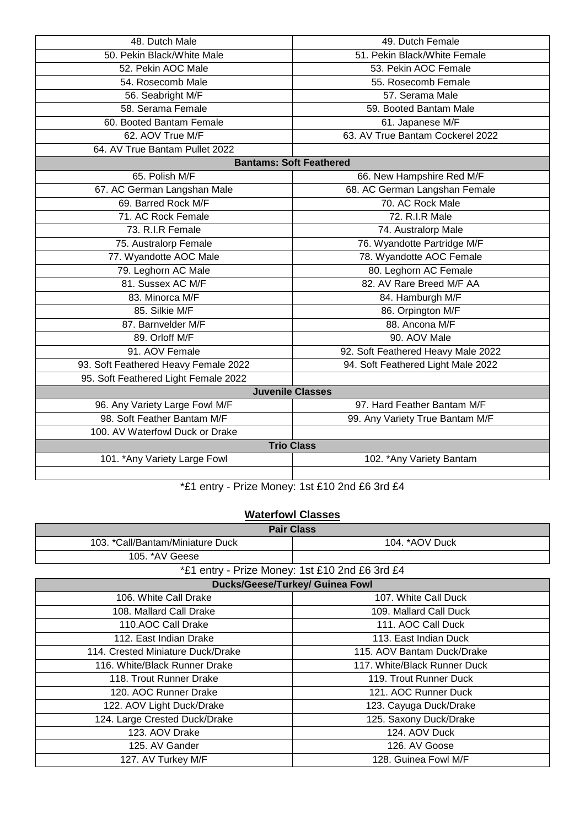| 48. Dutch Male                                                 | 49. Dutch Female                   |  |  |  |
|----------------------------------------------------------------|------------------------------------|--|--|--|
| 50. Pekin Black/White Male                                     | 51. Pekin Black/White Female       |  |  |  |
| 52. Pekin AOC Male                                             | 53. Pekin AOC Female               |  |  |  |
| 54. Rosecomb Male                                              | 55. Rosecomb Female                |  |  |  |
| 56. Seabright M/F                                              | 57. Serama Male                    |  |  |  |
| 58. Serama Female<br>59. Booted Bantam Male                    |                                    |  |  |  |
| 60. Booted Bantam Female<br>61. Japanese M/F                   |                                    |  |  |  |
| 62. AOV True M/F                                               | 63. AV True Bantam Cockerel 2022   |  |  |  |
| 64. AV True Bantam Pullet 2022                                 |                                    |  |  |  |
| <b>Bantams: Soft Feathered</b>                                 |                                    |  |  |  |
| 65. Polish M/F                                                 | 66. New Hampshire Red M/F          |  |  |  |
| 67. AC German Langshan Male                                    | 68. AC German Langshan Female      |  |  |  |
| 69. Barred Rock M/F                                            | 70. AC Rock Male                   |  |  |  |
| 71. AC Rock Female                                             | 72. R.I.R Male                     |  |  |  |
| 73. R.I.R Female                                               | 74. Australorp Male                |  |  |  |
| 75. Australorp Female                                          | 76. Wyandotte Partridge M/F        |  |  |  |
| 77. Wyandotte AOC Male                                         | 78. Wyandotte AOC Female           |  |  |  |
| 79. Leghorn AC Male                                            | 80. Leghorn AC Female              |  |  |  |
| 81. Sussex AC M/F                                              | 82. AV Rare Breed M/F AA           |  |  |  |
| 83. Minorca M/F                                                | 84. Hamburgh M/F                   |  |  |  |
| 85. Silkie M/F                                                 | 86. Orpington M/F                  |  |  |  |
| 87. Barnvelder M/F<br>88. Ancona M/F                           |                                    |  |  |  |
| 89. Orloff M/F                                                 | 90. AOV Male                       |  |  |  |
| 91. AOV Female                                                 | 92. Soft Feathered Heavy Male 2022 |  |  |  |
| 93. Soft Feathered Heavy Female 2022                           | 94. Soft Feathered Light Male 2022 |  |  |  |
| 95. Soft Feathered Light Female 2022                           |                                    |  |  |  |
| <b>Juvenile Classes</b>                                        |                                    |  |  |  |
| 96. Any Variety Large Fowl M/F                                 | 97. Hard Feather Bantam M/F        |  |  |  |
| 98. Soft Feather Bantam M/F<br>99. Any Variety True Bantam M/F |                                    |  |  |  |
| 100. AV Waterfowl Duck or Drake                                |                                    |  |  |  |
| <b>Trio Class</b>                                              |                                    |  |  |  |
| 101. * Any Variety Large Fowl                                  | 102. * Any Variety Bantam          |  |  |  |
|                                                                |                                    |  |  |  |

\*£1 entry - Prize Money: 1st £10 2nd £6 3rd £4

## **Waterfowl Classes**

| <b>Pair Class</b>                                 |                              |  |  |  |
|---------------------------------------------------|------------------------------|--|--|--|
| 103. *Call/Bantam/Miniature Duck                  | 104. * AOV Duck              |  |  |  |
| 105. *AV Geese                                    |                              |  |  |  |
| *£1 entry - Prize Money: 1st £10 2nd £6 3rd £4    |                              |  |  |  |
| <b>Ducks/Geese/Turkey/ Guinea Fowl</b>            |                              |  |  |  |
| 106. White Call Drake                             | 107. White Call Duck         |  |  |  |
| 108. Mallard Call Drake                           | 109. Mallard Call Duck       |  |  |  |
| 110.AOC Call Drake                                | 111. AOC Call Duck           |  |  |  |
| 112. East Indian Drake                            | 113. East Indian Duck        |  |  |  |
| 114. Crested Miniature Duck/Drake                 | 115. AOV Bantam Duck/Drake   |  |  |  |
| 116. White/Black Runner Drake                     | 117. White/Black Runner Duck |  |  |  |
| 118. Trout Runner Drake<br>119. Trout Runner Duck |                              |  |  |  |
| 120. AOC Runner Drake                             | 121. AOC Runner Duck         |  |  |  |
| 122. AOV Light Duck/Drake                         | 123. Cayuga Duck/Drake       |  |  |  |
| 124. Large Crested Duck/Drake                     | 125. Saxony Duck/Drake       |  |  |  |
| 123. AOV Drake                                    | 124. AOV Duck                |  |  |  |
| 125. AV Gander                                    | 126. AV Goose                |  |  |  |
| 127. AV Turkey M/F                                | 128. Guinea Fowl M/F         |  |  |  |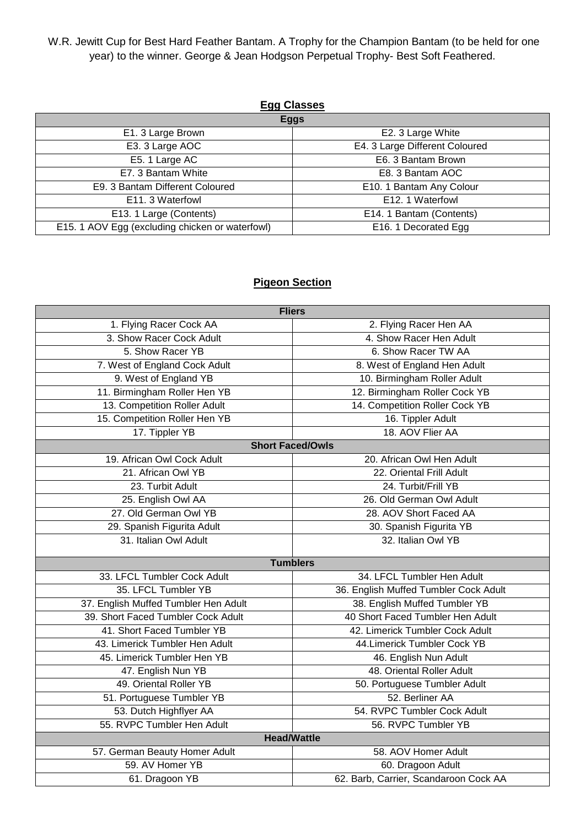W.R. Jewitt Cup for Best Hard Feather Bantam. A Trophy for the Champion Bantam (to be held for one year) to the winner. George & Jean Hodgson Perpetual Trophy- Best Soft Feathered.

| <b>Egg Classes</b>                              |                                |  |  |
|-------------------------------------------------|--------------------------------|--|--|
| <b>Eggs</b>                                     |                                |  |  |
| E1. 3 Large Brown                               | E2. 3 Large White              |  |  |
| E3. 3 Large AOC                                 | E4. 3 Large Different Coloured |  |  |
| E5. 1 Large AC                                  | E6. 3 Bantam Brown             |  |  |
| E7. 3 Bantam White                              | E8. 3 Bantam AOC               |  |  |
| E9. 3 Bantam Different Coloured                 | E10. 1 Bantam Any Colour       |  |  |
| E11. 3 Waterfowl                                | E12. 1 Waterfowl               |  |  |
| E13. 1 Large (Contents)                         | E14. 1 Bantam (Contents)       |  |  |
| E15. 1 AOV Egg (excluding chicken or waterfowl) | E16. 1 Decorated Egg           |  |  |

### **Pigeon Section**

| <b>Fliers</b>                                                         |                                       |  |  |  |
|-----------------------------------------------------------------------|---------------------------------------|--|--|--|
| 1. Flying Racer Cock AA                                               | 2. Flying Racer Hen AA                |  |  |  |
| 3. Show Racer Cock Adult<br>4. Show Racer Hen Adult                   |                                       |  |  |  |
| 5. Show Racer YB                                                      | 6. Show Racer TW AA                   |  |  |  |
| 7. West of England Cock Adult                                         | 8. West of England Hen Adult          |  |  |  |
| 9. West of England YB                                                 | 10. Birmingham Roller Adult           |  |  |  |
| 11. Birmingham Roller Hen YB                                          | 12. Birmingham Roller Cock YB         |  |  |  |
| 13. Competition Roller Adult                                          | 14. Competition Roller Cock YB        |  |  |  |
| 15. Competition Roller Hen YB                                         | 16. Tippler Adult                     |  |  |  |
| 17. Tippler YB                                                        | 18. AOV Flier AA                      |  |  |  |
|                                                                       | <b>Short Faced/Owls</b>               |  |  |  |
| 19. African Owl Cock Adult                                            | 20. African Owl Hen Adult             |  |  |  |
| 21. African Owl YB                                                    | 22. Oriental Frill Adult              |  |  |  |
| 23. Turbit Adult                                                      | 24. Turbit/Frill YB                   |  |  |  |
| 25. English Owl AA                                                    | 26. Old German Owl Adult              |  |  |  |
| 27. Old German Owl YB                                                 | 28. AOV Short Faced AA                |  |  |  |
| 29. Spanish Figurita Adult                                            | 30. Spanish Figurita YB               |  |  |  |
| 31. Italian Owl Adult                                                 | 32. Italian Owl YB                    |  |  |  |
|                                                                       | <b>Tumblers</b>                       |  |  |  |
| 33. LFCL Tumbler Cock Adult                                           | 34. LFCL Tumbler Hen Adult            |  |  |  |
| 35. LFCL Tumbler YB                                                   | 36. English Muffed Tumbler Cock Adult |  |  |  |
| 37. English Muffed Tumbler Hen Adult<br>38. English Muffed Tumbler YB |                                       |  |  |  |
| 39. Short Faced Tumbler Cock Adult                                    | 40 Short Faced Tumbler Hen Adult      |  |  |  |
| 41. Short Faced Tumbler YB                                            | 42. Limerick Tumbler Cock Adult       |  |  |  |
| 43. Limerick Tumbler Hen Adult                                        | 44. Limerick Tumbler Cock YB          |  |  |  |
| 45. Limerick Tumbler Hen YB                                           | 46. English Nun Adult                 |  |  |  |
| 47. English Nun YB                                                    | 48. Oriental Roller Adult             |  |  |  |
| 49. Oriental Roller YB                                                | 50. Portuguese Tumbler Adult          |  |  |  |
| 51. Portuguese Tumbler YB                                             | 52. Berliner AA                       |  |  |  |
| 54. RVPC Tumbler Cock Adult<br>53. Dutch Highflyer AA                 |                                       |  |  |  |
| 55. RVPC Tumbler Hen Adult<br>56. RVPC Tumbler YB                     |                                       |  |  |  |
| <b>Head/Wattle</b>                                                    |                                       |  |  |  |
| 57. German Beauty Homer Adult                                         | 58. AOV Homer Adult                   |  |  |  |
| 59. AV Homer YB                                                       | 60. Dragoon Adult                     |  |  |  |
| 61. Dragoon YB                                                        | 62. Barb, Carrier, Scandaroon Cock AA |  |  |  |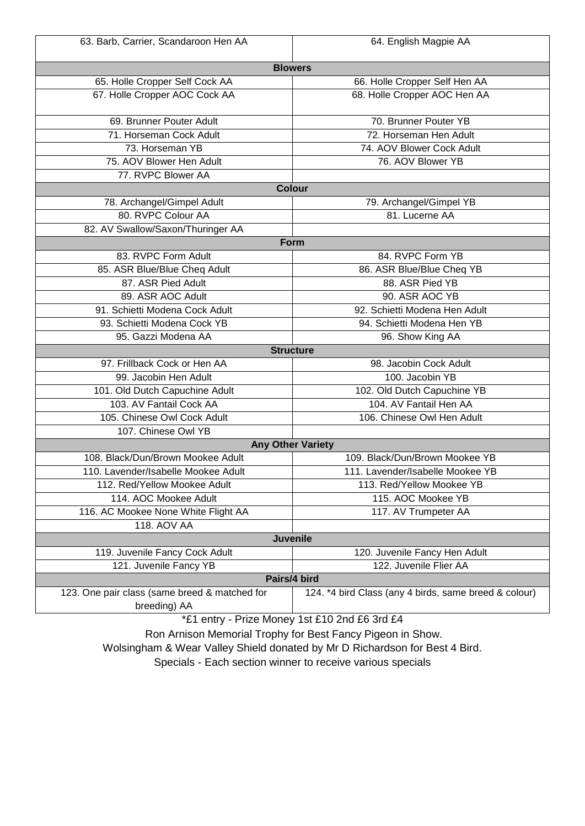| 63. Barb, Carrier, Scandaroon Hen AA          | 64. English Magpie AA                                 |  |  |  |  |
|-----------------------------------------------|-------------------------------------------------------|--|--|--|--|
| <b>Blowers</b>                                |                                                       |  |  |  |  |
| 65. Holle Cropper Self Cock AA                | 66. Holle Cropper Self Hen AA                         |  |  |  |  |
| 67. Holle Cropper AOC Cock AA                 | 68. Holle Cropper AOC Hen AA                          |  |  |  |  |
| 69. Brunner Pouter Adult                      | 70. Brunner Pouter YB                                 |  |  |  |  |
| 71. Horseman Cock Adult                       | 72. Horseman Hen Adult                                |  |  |  |  |
| 73. Horseman YB                               | 74. AOV Blower Cock Adult                             |  |  |  |  |
| 75. AOV Blower Hen Adult                      | 76. AOV Blower YB                                     |  |  |  |  |
| 77. RVPC Blower AA                            |                                                       |  |  |  |  |
|                                               | <b>Colour</b>                                         |  |  |  |  |
| 78. Archangel/Gimpel Adult                    | 79. Archangel/Gimpel YB                               |  |  |  |  |
| 80. RVPC Colour AA                            | 81. Lucerne AA                                        |  |  |  |  |
| 82. AV Swallow/Saxon/Thuringer AA             |                                                       |  |  |  |  |
|                                               | Form                                                  |  |  |  |  |
| 83. RVPC Form Adult                           | 84. RVPC Form YB                                      |  |  |  |  |
| 85. ASR Blue/Blue Cheq Adult                  | 86. ASR Blue/Blue Cheq YB                             |  |  |  |  |
| 87. ASR Pied Adult                            | 88. ASR Pied YB                                       |  |  |  |  |
| 89. ASR AOC Adult                             | 90. ASR AOC YB                                        |  |  |  |  |
| 91. Schietti Modena Cock Adult                | 92. Schietti Modena Hen Adult                         |  |  |  |  |
| 93. Schietti Modena Cock YB                   | 94. Schietti Modena Hen YB                            |  |  |  |  |
| 95. Gazzi Modena AA                           | 96. Show King AA                                      |  |  |  |  |
|                                               | <b>Structure</b>                                      |  |  |  |  |
| 97. Frillback Cock or Hen AA                  | 98. Jacobin Cock Adult                                |  |  |  |  |
| 99. Jacobin Hen Adult                         | 100. Jacobin YB                                       |  |  |  |  |
| 101. Old Dutch Capuchine Adult                | 102. Old Dutch Capuchine YB                           |  |  |  |  |
| 103. AV Fantail Cock AA                       | 104. AV Fantail Hen AA                                |  |  |  |  |
| 105. Chinese Owl Cock Adult                   | 106. Chinese Owl Hen Adult                            |  |  |  |  |
| 107. Chinese Owl YB                           |                                                       |  |  |  |  |
|                                               | <b>Any Other Variety</b>                              |  |  |  |  |
| 108. Black/Dun/Brown Mookee Adult             | 109. Black/Dun/Brown Mookee YB                        |  |  |  |  |
| 110. Lavender/Isabelle Mookee Adult           | 111. Lavender/Isabelle Mookee YB                      |  |  |  |  |
| 112. Red/Yellow Mookee Adult                  | 113. Red/Yellow Mookee YB                             |  |  |  |  |
| 114. AOC Mookee Adult                         | 115. AOC Mookee YB                                    |  |  |  |  |
| 116. AC Mookee None White Flight AA           | 117. AV Trumpeter AA                                  |  |  |  |  |
| <b>118. AOV AA</b>                            |                                                       |  |  |  |  |
| Juvenile                                      |                                                       |  |  |  |  |
| 119. Juvenile Fancy Cock Adult                | 120. Juvenile Fancy Hen Adult                         |  |  |  |  |
| 121. Juvenile Fancy YB                        | 122. Juvenile Flier AA                                |  |  |  |  |
|                                               | Pairs/4 bird                                          |  |  |  |  |
| 123. One pair class (same breed & matched for | 124. *4 bird Class (any 4 birds, same breed & colour) |  |  |  |  |
| breeding) AA                                  |                                                       |  |  |  |  |
| *£1 entry - Prize Money 1st £10 2nd £6 3rd £4 |                                                       |  |  |  |  |

Ron Arnison Memorial Trophy for Best Fancy Pigeon in Show.

Wolsingham & Wear Valley Shield donated by Mr D Richardson for Best 4 Bird.

Specials - Each section winner to receive various specials